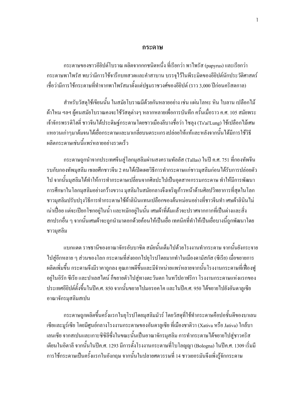#### กระดาษ

่ กระดาษของชาวอียิปต์โบราณ ผลิตจากกกชนิดหนึ่ง ที่เรียกว่า พาไพรัส (papyrus) และเรียกว่า กระดาษพาไพรัส พบว่ามีการใช้จารึกบทสวดและคำสาบาน บรรจุไว้ในพีระมิดของอียิปต์นักประวัติศาสตร์ เชื่อว่ามีการใช้กระดาษที่ทำจากพาไพรัสมาตั้งแต่ปฐมราชวงศ์ของอียิปต์ (ราว 3,000 ปีก่อนคริสตกาล)

ี สำหรับวัสดใช้เขียนนั้น ในสมัยโบราณมีค้วยกันหลายอย่าง เช่น แผ่นโลหะ หิน ใบลาน เปลือกไม้ ผ้าใหม ฯลฯ ผู้คนสมัยโบราณคงจะใช้วัสดุต่างๆ หลากหลายเพื่อการบันทึก ครั้นเมื่อราว ค.ศ. 105 สมัยพระ เจ้าจักรพรรดิโฮตี่ ชาวจีนได้ประดิษฐ์กระดาษโดยชาวเมืองลีบางชื่อว่า ไซลุง (Ts'ai'Lung) ใช้เปลือกไม้เศษ แหอวนเก่าๆมาต้มจนใด้เยื่อกระดาษและมาเกลี่ยบนตระแกรงปล่อยให้แห้และหลังจากนั้นใด้มีการใช้วิธี ผลิตกระดาษเช่นนี้แพร่หลายอย่างรวดเร็ว

ี กระดาษถกนำจากประเทศจีนส่ โลกมสลิมผ่านสงครามทัลลัส (Tallas) ในปี ค.ศ. 751 ที่กองทัพจีน รบกับกองทัพมุสลิม เชลยศึกชาวจีน 2 คนได้เปิดเผยวิธีการทำกระดาษแก่ชาวมุสลิมก่อนได้รับการปล่อยตัว ไป จากนั้นมุสลิมได้ทำให้การทำกระดาษเปลี่ยนจากศิลปะไปเป็นอุตสาหกรรมกระดาษ ทำให้มีการพัฒนา ึการศึกษาในโลกมุสลิมอย่างกว้างขวาง มุสลิมในสมัยกลางจึงเจริญก้าวหน้าค้านศิลปวิทยาการที่สุดในโลก ชาวมุสลิมปรับปรุงวิธีการทำกระดาษใช้ผ้าลินินแทนเปลือกของต้นหม่อนอย่างที่ชาวจีนทำ เศษผ้าลินินไม่ เน่าเปื่อย แต่จะเปียกโชกอยู่ในน้ำ และหมักอยู่ในนั้น เศษผ้าที่ต้มแล้วจะปราศจากกากที่เป็นด่างและสิ่ง สกปรกอื่น ๆ จากนั้นเศษผ้าจะถูกนำมาตอกด้วยก้อนให้เป็นเยื่อ เทกนิกที่ทำให้เป็นเยื่อบางนี้ถูกพัฒนาโดย ชาวมุสลิม

แบกแดด ราชธานีของอาณาจักรอับบาซิด สมัยนั้นเต็มไปด้วยโรงงานทำกระดาษ จากนั้นยังกระจาย ไปสู่อีกหลาย ๆ ส่วนของโลก กระดาษที่ส่งออกไปยุโรปโดยมากทำในเมืองดามัสกัส (ซีเรีย) เมื่อขยายการ ผลิตเพิ่มขึ้น กระดาษจึงมีราคาถูกลง คุณภาพดีขึ้นและมีจำหน่ายแพร่หลายจากนั้นโรงงานกระดาษที่เฟื่องฟู อยู่ในอิรัก ซีเรีย และปาเลสไตน์ ก็ขยายตัวไปสู่ทางตะวันตก ในทวีปอาฟริกา โรงงานกระดาษแห่งแรกของ ประเทศอียิปต์ตั้งขึ้นในปีค.ศ. 850 จากนั้นขยายไปมอรอคโค และในปีค.ศ. 950 ได้ขยายไปยังอันดาลูเซีย อาณาจักรมุสลิมสเปน

ึกระดาษถูกผลิตขึ้นครั้งแรกในยุโรปโดยมุสลิมมัวร์ โดยวัสดุที่ใช้ทำกระดาษคือปอชั้นดีของบาเลน เซียและมูร์เซีย โดยมีศูนย์กลางโรงงานกระดาษของอันดาลูเซีย ที่เมืองชาติวา (Xativa หรือ Jativa) ใกล้บา เลนเซีย จากสเปนและเกาะซิซิลีซึ่งในขณะนั้นเป็นอาณาจักรมุสลิม การทำกระดาษได้ขยายไปสู่ชาวคริส เตียนในอิตาลี จากนั้นในปีค.ศ. 1293 มีการตั้งโรงงานกระดาษที่โบโลญญา (Bologna) ในปีค.ศ. 1309 เริ่มมี การใช้กระดาษเป็นครั้งแรกในอังกฤษ จากนั้นในปลายศตวรรษที่ 14 ชาวเยอรมันจึงเพิ่งรู้จักกระดาษ

 $\mathbf{1}$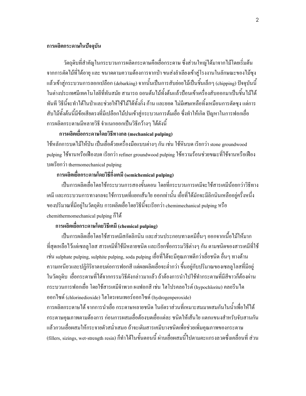### การผลิตกระดาษในปัจจุบัน

วัตถุดิบที่สำคัญในกระบวนการผลิตกระดาษคือเยื่อกระดาษ ซึ่งส่วนใหญ่ได้มาจากไม้โดยเริ่มต้น จากการตัด ไม้ที่ได้อายุ และ ขนาดตามความต้องการจากป่า ขนส่งลำเลียงเข้าสู่โรงงานในลักษณะของไม้ซุง แล้วเข้าสู่กระบวนการลอกเปลือก (debarking) จากนั้นเป็นการสับย่อยไม้เป็นชิ้นเล็กๆ (chipping) ปัจจุบันนี้ ในต่างประเทศมีเทคโนโลยีที่ทันสมัย สามารถ ถอนต้นไม้ทั้งต้นแล้วป้อนเข้าเครื่องสับออกมาเป็นชิ้นไม้ได้ ทันที วิธีนี้จะทำได้ในป่าและช่วยให้ใช้ไม้ได้ทั้งกิ่ง ก้าน และยอด ไม่มีเศษเหลือทิ้งเหมือนการตัดซุง แต่การ สับใม้ทั้งต้นนี้มีข้อเสียตรงที่มีเปลือกไม้ปนเข้าสู่กระบวนการต้มเยื่อ ซึ่งทำให้เกิด ปัญหาในการฟอกเยื่อ การผลิตกระดาษมีหลายวิธี จำแนกออกเป็นวิธีกว้างๆ ได้ดังนี้

#### การผลิตเยื่อกระดาษโดยวิธีทางกล (mechanical pulping)

ใช้หลักการบดไม้ให้ป่น เป็นเยื่อด้วยเกรื่องมือแบบต่างๆ กัน เช่น ใช้หินบด เรียกว่า stone groundwood pulping ใช้จานหรือเฟืองบค เรียกว่า refiner groundwood pulping ใช้ความร้อนช่วยขณะที่ใช้จานหรือเฟือง บดเรียกว่า thermomechanical pulping

## การผลิตเยื่อกระดาษโดยวิธีกึ่งเคมี (semichemical pulping)

เป็นการผลิตเชื่อโดยใช้กระบวนการสองขั้นตอน โดยที่กระบวนการเคมีจะใช้สารเคมีน้อยกว่าวิธีทาง เคมี และกระบวนการทางกลจะใช้การบคที่แยกเส้นใย ออกเท่านั้น เยื่อที่ได้มักจะมีลิกนินเหลืออยู่ครึ่งหนึ่ง ของปริมาณที่มีอยู่ในวัตถุดิบ การผลิตเชื่อโดยวิธีนี้จะเรียกว่า chemimechanical pulping หรือ chemithermomechanical pulping  $\tilde{p}^{\dagger}$ 

## การผลิตเยื่อกระดาษโดยวิธีเคมี (chemical pulping)

เป็นการผลิตเชื่อโดยใช้สารเคมีสกัดลิกนิน และส่วนประกอบทางเคมีอื่นๆ ออกจากเนื้อไม้ให้มาก ที่สุดเหลือไว้แต่เซลลูโลส สารเคมีที่ใช้มีหลายชนิด และเรียกชื่อกรรมวิธีต่างๆ กัน ตามชนิดของสารเคมีที่ใช้ เช่น sulphate pulping, sulphite pulping, soda pulping เยื่อที่ได้จะมีคุณภาพดีกว่าเยื่อชนิด อื่นๆ ทางด้าน ความเหนียวและปฏิกิริยาตอบต่อการฟอกสี แต่ผลผลิตเยื่อจะต่ำกว่า ขึ้นอยู่กับปริมาณของเซลลูโลสที่มีอยู่ ในวัตถุดิบ เยื่อกระคาษที่ได้จากกรรมวิธีดังกล่าวมาแล้ว ถ้าต้องการนำไปใช้ทำกระคาษที่มีสีขาวก็ต้องผ่าน กระบวนการฟอกเยื่อ โดยใช้สารเคมีจำพวก ผงฟอกสี เช่น "lฮโปรคลอ"ไรต์ (hypochlorite) คลอรีน ได ออกใซด์ (chlorinedioxide) ใฮโครเจนเพอร์ออกใซด์ (hydrogenperoxide)

การผลิตกระดาษ ได้ จากการนำเยื่อ กระดาษหลายชนิด ในอัตราส่วนที่เหมาะสมมาผสมกันในน้ำเพื่อให้ได้ กระดาษคุณภาพตามต้องการ ก่อนการผสมเยื่อต้องบดเยื่อแต่ละ ชนิดให้เส้นใย แตกแขนงสำหรับจับสานกัน แล้วกวนเชื่อผสมให้กระจายตัวสม่ำเสมอ ถ้าจะเติมสารเคมีบางชนิดเพื่อช่วยเพิ่มคุณภาพของกระดาษ (fillers, sizings, wet-strength resin) กี่ทำใค้ในขั้นตอนนี้ ผ่านเยื่อผสมนี้ไปตามตะแกรงลวดซึ่งเคลื่อนที่ ส่วน

/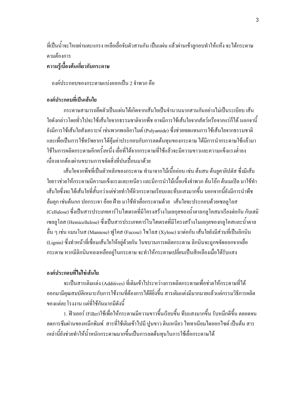ที่เป็นน้ำจะไหลผ่านตะแกรง เหลือเยื่อจับตัวสานกัน เป็นแผ่น แล้วผ่านเข้าลูกอบทำให้แห้ง จะได้กระดาษ ตามต้องการ

# ความรู้เบื้องต้นเกี่ยวกับกระดาษ

องค์ประกอบของกระคาษแบ่งออกเป็น 2 จำพวก คือ

# องค์ประกอบที่เป็นเส้นใย

้กระดาษสามารถยึดตัวเป็นแผ่นได้เกิดจากเส้นใยเป็นจำนวนมากสานกันอย่างไม่เป็นระเบียบ เส้น ใยดังกล่าวโดยทั่วไปจะใช้เส้นใยจากธรรมชาติจากพืช อาจมีการใช้เส้นใยจากสัตว์หรือจากแร่ก็ได้ นอกจานี้ ยังมีการใช้เส้นใยสังเคราะห์ เช่นพวกพอลิอาไมด์ (Polyamide) ซึ่งช่วยทดแทนการใช้เส้นใยจากธรรมชาติ และเพื่อเป็นการใช้ทรัพยากรได้ค้มค่าประกอบกับการลดต้นทนของกระดาษ ได้มีการนำกระดาษใช้แล้วมา ใช้ในการผลิตกระดาษอีกครั้งหนึ่ง เยื่อที่ได้จากกระดาษที่ใช้แล้วจะมีความขาวและความแข็งแรงต่ำลง ้เนื่องจากต้องผ่านขบวนการขจัดสิ่งที่ปนเปื้อนมาด้วย

้เส้นใยจากพืชที่เป็นตัวหลักของกระดาษ ทำมาจากไม้เนื้ออ่อน เช่น ต้นสน ต้นยูคาลิปตัส ซึ่งมีเส้น ใยยาวช่วยให้กระดาษมีความแข็งแรงและเหนียว และมีการนำไม้เนื้อแข็งจำพวก ต้นโอ๊ก ต้นเมเปิล มาใช้ทำ ้เส้นใยซึ่งจะได้เส้นใยที่สั้นกว่าแต่ช่วยทำให้ผิวกระดาษเรียบและทึบแสงมากขึ้น นอกจากนี้ยังมีการนำพืช ้ส้มลุก เช่นต้นกก ปอกระเจา อ้อย ฝ้าย มาใช้ทำเยื่อกระดาษด้วย เส้นใยจะประกอบด้วยเซลลูโลส (Cellulose) ซึ่งเป็นสารประเภทคาร์โบไฮเดรตที่มีโครงสร้างโมเลกุลของน้ำตาลกลูโคสมาเรียงต่อกัน กับเฮมิ เซลลูโลส (Hemicellulose) ซึ่งเป็นสารประเภทคาร์โบไฮเดรตที่มีโครงสร้างโมเลกุลของกลูโคสและน้ำตาล อื่น ๆ เช่น แมนโนส (Mannose) ฟูโคส (Fucose) ใชโลส (Xylose) มาต่อกัน เส้นใยยังมีส่วนที่เป็นลิกนิน (Lignin) ซึ่งทำหน้าที่เชื่อมเส้นใยให้อย่ด้วยกัน ในขบวนการผลิตกระดาษ ลิกนินจะถกขจัดออกจากเยื่อ กระดาษ หากมีลิกนินหลงเหลืออยู่ในกระดาษ จะทำให้กระดาษเปลี่ยนเป็นสีเหลืองเมื่อได้รับแสง

# องค์ประกอบที่ไม่ใช่เส้นใย

่ จะเป็นสารเติมแต่ง (Additives) ที่เติมเข้าไประหว่างการผลิตกระดาษเพื่อช่วยให้กระดาษที่ได้ ้ออกมามีคุณสมบัติเหมาะกับการใช้งานที่ต้องการใด้ดียิ่งขึ้น สารเติมแต่งมีมากมายแล้วแต่กรรมวิธีการผลิต ของแต่ละโรงงาน แต่ที่ใช้กันมากมีดังนี้

1. ฟิวเลอร์ (Filler)ใช้เพื่อให้กระดาษมีความขาวขึ้นเรียบขึ้น ทึบแสงมากขึ้น รับหมึกดีขึ้น ตลอดจน ิลดการซึมผ่านของหมึกพิมพ์ สารที่ใช้เติมเข้าไปมี ปูนขาว ดินเหนียว ไททาเนียมไดออกไซด์ เป็นต้น สาร เหล่านี้ยังช่วยทำให้น้ำหนักกระดาษมากขึ้นเป็นการลดต้นทุนในการใช้เฮื่อกระดาษได้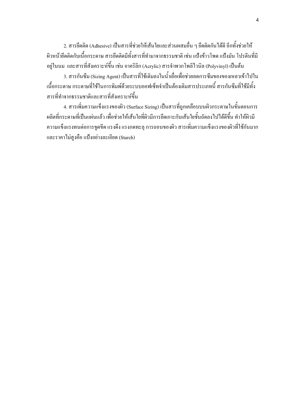2. สารยึดติด (Adhesive) เป็นสารที่ช่วยให้เส้นใยและส่วนผสมอื่น ๆ ยึดติดกันได้ดี อีกทั้งช่วยให้ ผิวหน้ายึดติดกับเนื้อกระดาษ สารยึดติดมีทั้งสารที่ทำมาจากธรรมชาติ เช่น แป้งข้าวโพด แป้งมัน โปรตีนที่มี อยู่ในนม และสารที่สังเคราะห์ขึ้น เช่น อาคริลิก (Acrylic) สารจำพวกโพลิไวนิล (Polyvinyl) เป็นต้น

3. สารกันซึม (Sizing Agent) เป็นสารที่ใช้เติมลงในน้ำเยื่อเพื่อช่วยลดการซึมของของเหลวเข้าไปใน เนื้อกระคาษ กระคาษที่ใช้ในการพิมพ์ค้วยระบบออฟเซ็ทจำเป็นต้องเติมสารประเภทนี้ สารกันซึมที่ใช้มีทั้ง สารที่ทำจากธรรมชาติและสารที่สังเคราะห์ขึ้น

4. สารเพิ่มความแข็งแรงของผิว (Surface Sizing) เป็นสารที่ถูกเคลือบบนผิวกระดาษในขั้นตอนการ ผลิตที่กระคาษที่เป็นแผ่นแล้ว เพื่อช่วยให้เส้นใยที่ผิวมีการยึดเกาะกับเส้นใยชั้นถัดลงไปใด้ดีขึ้น ทำให้ผิวมี ความแข็งแรงทนต่อการขูดขีด แรงดึง แรงกดทะลุ การถอนของผิว สารเพิ่มความแข็งแรงของผิวที่ใช้กันมาก และราคาไม่สูงคือ แป้งอย่างละเอียด (Starch)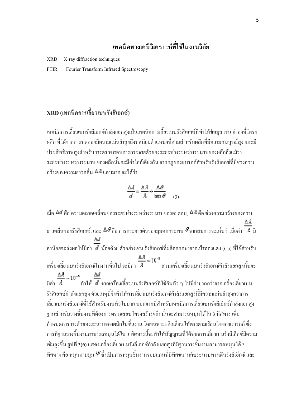# เทคนิคทางเคมีวิเคราะห์ที่ใช้ในงานวิจัย

XRD X-ray diffraction techniques

FTIR Fourier Transform Infrared Spectroscopy

# ${\bf XRD}$  (เทคนิคการเลี้ยวเบนรังสีเอกซ์)

เทคนิคการเลี้ยวเบนรังสีเอกซ์กำลังแยกสูงเป็นเทคนิคการเลี้ยวเบนรังสีเอกซ์ที่ทำให้ข้อมูล เช่น ค่าคงที่โครง ผลึก ที่ได้จากการทดลองมีความแม่นยำสูงถึงทศนิยมตำแหน่งที่สามสำหรับผลึกที่มีความสมบูรณ์สูง และมี ประสิทธิภาพสูงสำหรับการตรวจสอบการกระจายตัวของระยะห่างระหว่างระนาบของผลึกถึงแม้ว่า ระยะห่างระหว่างระนาบ ของผลึกนั้นจะมีค่าใกล้เคียงกัน จากกฎของแบรกก์สำหรับรังสีเอกซ์ที่มีช่วงความ  $\overline{0}$ กว้างของความยาวคลื่น  $\Delta \lambda$ แคบมาก จะได้ว่า

$$
\frac{\Delta d}{d} = \frac{\Delta \lambda}{\lambda} + \frac{\Delta \theta}{\tan \theta}
$$
 (3)

เมื่อ ��� คือ ความคลาดเคลื่อนของระยะห่างระหว่างระนาบของอะตอม, ��� คือ ช่วงความกว้างของความ ยาวคลื่นของรังสีเอกซ์, และ  $\Delta\theta$ คือ การกระจายตัวของมุมตกกระทบ  $\theta$ จากสมการจะเห็นว่าเมื่อค่า  $^{-}$ 4 มี ค่าน้อยจะส่งผลให้มีค่า ¤ึ น้อยด้วย ตัวอย่างเช่น รังสีเอกซ์ที่ผลิตออกมาจากเป้าทองแดง (Cu) ที่ใช้สำหรับ เครื่องเลี้ยวเบนรังสีเอกซ์ในงานทั่วไป จะมีค่า <sup>2</sup> ส่วนเครื่องเลี้ยวเบนรังสีเอกซ์กำลังแยกสูงนั้นจะ มีค่า  $\,$   $\,$   $^3$   $\,$  ทำให้  $\,$  งากเครื่องเลี้ยวเบนรังสีเอกซ์ที่ใช้กันทั่ว ๆ ไปมีค่ามากกว่าจากเครื่องเลี้ยวเบน รังสีเอกซ์กำลังแยกสูง ด้วยเหตุนี้จึงทำให้การเลี้ยวเบนรังสีเอกซ์กำลังแยกสูงนี้มีความแม่นยำสูงกว่าการ เลี้ยวเบนรังสีเอกซ์ที่ใช้สำหรับงานทั่วไปมาก นอกจากนี้สำหรับเทคนิคการเลี้ยวเบนรังสีเอ็กซ์กำลังแยกสูง ฐานสำหรับวางชิ้นงานที่ต้องการตรวจสอบโครงสร้างผลึกนั้นจะสามารถหมุนได้ใน 3 ทิศทาง เพื่อ กำหนดการวางตัวของระนาบของผลึกในชิ้นงาน โดยเฉพาะผลึกเดี่ยว ให้ตรงตามเงื่อนไขของแบรกก์ ซึ่ง การที่ฐานวางชิ้นงานสามารถหมุนได้ใน 3 ทิศทางนี้จะทำให้สัญญาณที่ได้จากการเลี้ยวเบนรังสีเอ็กซ์มีความ เข้มสูงขึ้น **รูปที่ 3(ก)** แสคงเครื่องเลี้ยวเบนรังสีเอกซ์กำลังแยกสูงที่มีฐานวางชิ้นงานสามารถหมุนได้ 3 ทิศทาง คือ หมุนตามมุม  $\mathscr{C}$ ซึ่งเป็นการหมุนชิ้นงานรอบแกนที่มีทิศขนานกับระนาบทางเดินรังสีเอ็กซ์ และ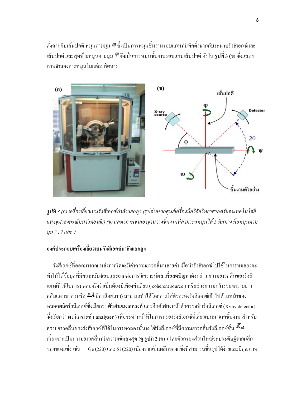ตั้งฉากกับเส้นปกติ หมุนตามมุม �� ซึ่งเป็นการหมุนชิ้นงานรอบแกนที่มีทิศตั้งฉากกับระนาบรังสีเอกซ์และ เส้นปกติ และสุดท้ายหมุนตามมุม �� ซึ่งเป็นการหมุนชิ้นงานรอบแกนเส้นปกติ ดังใน **รูปที่ 3 (ข)** ซึ่งแสดง ภาพจำลองการหมุนในแต่ละทิศทาง



รูปที่ 3 (ก) เครื่องเลี้ยวเบนรังสีเอกซ์กำลังแยกสูง (รูปถ่ายจากศูนย์เครื่องมือวิจัยวิทยาศาสตร์และเทคโนโลยี แห่งจุฬาลงกรณ์มหาวิทยาลัย) (ข) แสคงภาพจำลองฐานวางชิ้นงานที่สามารถหมุน ใค้ 3 ทิศทาง คือหมุนตาม  $\mu$ ม ? , ? และ ?

# องค์ประกอบเครื่องเลี้ยวเบนรังสีเอกซ์กำลังแยกสูง

รังสีเอกซ์ที่ออกมาจากแหล่งกำเนิดจะมีค่าความยาวคลื่นหลายค่า เมื่อนำรังสีเอกซ์ไปใช้ในการทดลองจะ ทำให้ได้ข้อมูลที่มีความซับซ้อนและยากต่อการวิเคราะห์ผล เพื่อลดปัญหาดังกล่าว ความยาวคลื่นของรังสี เอกซ์ที่ใช้ในการทดลองจึงจำเป็นต้องมีเพียงค่าเดียว ( coherent source ) หรือช่วงความกว้างของความยาว คลื่นแคบมาก (หรือ ∆ิ่4 มีค่าน้อยมาก) สามารถทำได้โดยการใส่ตัวกรองรังสีเอกซ์เข้าไปด้านหน้าของ หลอดผลิตรังสีเอกซ์ซึ่งเรียกว่า **ตัวทำแสงเอกรงค**์ และอีกตัวข้างหน้าตัวตรวจจับรังสีเอกซ์ (X-ray detector) ซึ่งเรียกว่า ตัววิเคราะห์ ( analyzer ) เพื่อจะทำหน้าที่ในการกรองรังสีเอกซ์ที่เลี้ยวเบนมาจากชิ้นงาน สำหรับ ความยาวคลื่นของรังสีเอกซ์ที่ใช้ในการทดลองนั้นจะใช้รังสีเอกซ์ที่มีความยาวคลื่นรังสีเอกซ์ชั้น เนื่องจากเป็นความยาวคลื่นที่มีความเข้มสูงสุด (ดู **รูปที่ 2 (ค)** ) โดยตัวกรองส่วนใหญ่จะประดิษฐ์จากผลึก ของของแข็ง เช่น Ge (220) และ Si (220) เนื่องจากเป็นผลึกของแข็งที่สามารถขึ้นรูปใด้ง่ายและมีคุณภาพ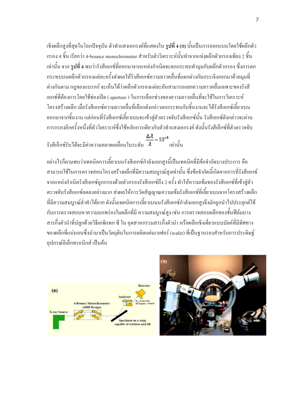้เชิงผลึกสูงที่สุดในโลกปัจจุบัน ตัวทำแสงเอกรงค์ที่แสดงใน ร**ูปที่ 4 (ก)** นั้นเป็นการออกแบบโดยใช้ผลึกตัว ึกรอง 4 ชิ้น เรียกว่า 4-bounce monochromator สำหรับตัววิเคราะห์นั้นทำจากแท่งผลึกตัวกรองเพียง 2 ชิ้น ้เท่านั้น จาก **รูปที่ 4** พบว่ารังสีเอกซ์ที่ออกมาจากแหล่งกำเนิดจะตกกระทบทำมุมกับผลึกตัวกรอง ซึ่งการตก ิกระทบบนผลึกตัวกรองแต่ละครั้งส่งผลให้รังสีเอกซ์ความยาวคลื่นที่แตกต่างกันกระเจิงออกมาด้วยม<sub>ุ่</sub>มที่ ต่างกันตาม กฎของแบรกก์ จะเห็นได้ว่าผลึกตัวกรองแต่ละอันสามารถแยกความยาวคลื่นเฉพาะของรังสี เอกซ์ที่ต้องการโดยใช้ช่องเปิด ( aperture ) ในการเลือกช่วงของความยาวคลื่นที่จะใช้ในการวิเคราะห์ โครงสร้างผลึก เมื่อรังสีเอกซ์ความยาวคลื่นที่เลือกดังกล่าวตกกระทบกับชิ้นงานจะได้รังสีเอกซ์เลี้ยวเบน ้ออกมาจากชิ้นงาน แต่ก่อนที่รังสีเอกซ์เลี้ยวเบนจะเข้าสู่ตัวตรวจจับรังสีเอกซ์นั้น รังสีเอกซ์ดังกล่าวจะผ่าน การกรองอีกครั้งหนึ่งที่ตัววิเคราะห์ซึ่งใช้หลักการเดียวกับตัวทำแสงเอกรงค์ ดังนั้นรังสีเอ็กซ์ที่ตัวตรวจจับ

 $\frac{\Delta \lambda}{\pi}$ าง  $\frac{\Delta \lambda}{\lambda}$  - 10<sup>-4</sup>

้อย่างไรก็ตามพบว่าเทคนิคการเลี้ยวเบนรังสีเอกซ์กำลังแยกสูงนี้เป็นเทคนิคที่มีข้อจำกัดบางประการ คือ สามารถใช้ในการตรวจสอบโครงสร้างผลึกที่มีความสมบูรณ์สูงเท่านั้น ซึ่งข้อจำกัดนี้เกิดจากการที่รังสีเอกซ์ ิจากแหล่งกำเนิดรังสีเอกซ์ถูกกรองด้วยตัวกรองรังสีเอกซ์ถึง 2 ครั้ง ทำให้ความเข้มของรังสีเอกซ์ที่เข้าสู่ตัว ตรวจจับรังสีเอกซ์ลดลงอย่างมาก ส่งผลให้การวัดสัญญาณความเข้มรังสีเอกซ์ที่เลี้ยวเบนจากโครงสร้างผลึก ี่ที่มีความสมบูรณ์ต่ำทำได้ยาก ดังนั้นเทคนิคการเลี้ยวเบนนรังสีเอกซ์กำลังแยกสูงจึงมักถูกนำไปประยุกต์ใช้ ้กับการตรวจสอบหาความบกพร่องในผลึกที่มี ความสมบูรณ์สูง เช่น การตรวจสอบผลึกของชั้นฟิล์มบาง สารกึ่งตัวนำที่ปลูกด้วยวิธีเอพิแทก ซี ใน อุตสาหกรรมสารกึ่งตัวนำ หรือผลึกเชิงเดี่ยวแบบบัลค์ที่มีทิศทาง ของผลึกที่แน่นอนซึ่งนำมาเป็นวัตถดิบในการผลิตแผ่นเวเฟอร์ (wafer) ที่เป็นจานรองสำหรับการประดิษจ์ อปกรณ์อิเล็กทรอนิกส์ เป็นต้น

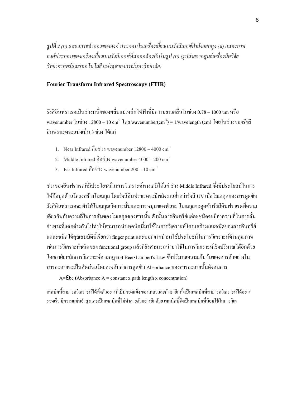รูปที่ 4 (ก) แสคงภาพจำลองขององค์ ประกอบในเครื่องเลี้ยวเบนรังสีเอกซ์กำลังแยกสูง (ข) แสคงภาพ องค์ประกอบของเครื่องเลี้ยวเบนรังสีเอกซ์ที่สอดคล้องกับในรูป (ก) (รูปถ่ายจากศูนย์เครื่องมือวิจัย วิทยาศาสตร์และเทค โน โลยี แห่งจุฬาลงกรณ์มหาวิทยาลัย)

#### Fourier Transform Infrared Spectroscopy (FTIR)

รังสีอินฟราเรคเป็นช่วงหนึ่งของคลื่นแม่เหล็กไฟฟ้าที่มีความยาวคลื่นในช่วง 0.78 – 1000 um หรือ wavenumber ในช่วง 12800 – 10 cm $^{-1}$  โดย wavenumber(cm $^{-1}$ ) = 1/wavelength (cm) โดยในช่วงของรังสื อินฟราเรคจะแบ่งเป็น 3 ช่วง ได้แก่

- 1. Near Infrared คือช่วง wavenumber  $12800 4000$  cm<sup>-1</sup>
- 2. Middle Infrared คือช่วง wavenumber  $4000 200 \text{ cm}^{-1}$
- 3. Far Infrared คือช่วง wavenumber  $200 10 \text{ cm}^{-1}$

ช่วงของอินฟราเรคที่มีประโยชน์ในการวิเคราะห์ทางเคมีได้แก่ ช่วง Middle Infrared ซึ่งมีประโยชน์ในการ ให้ข้อมูลด้านโครงสร้างโมเลกุล โดยรังสีอินฟราเรคจะมีพลังงานต่ำกว่ารังสี UV เมื่อโมเลกุลของสารดูคซับ รังสีอินฟราเรคจะทำให้โมเลกุลเกิดการสั่นและการหมุนของพันธะ โมเลกุลจะดูคซับรังสีอินฟราเรคที่ความ เดียวกันกับความถี่ในการสั่นของโมเลกุลของสารนั้น ดังนั้นสารอินทรีย์แต่ละชนิดจะมีค่าความถี่ในการสั่น จำเพาะที่แตกต่างกันไปทำให้สามารถนำเทคนิคนี้มาใช้ในการวิเคราะห์โครงสร้างและชนิดของสารอินทรีย์ แต่ละชนิดได้คุณสมบัตินี้เรียกว่า finger print และนอกจากนำมาใช้ประโยชน์ในการวิเคราะห์ด้านคุณภาพ เช่นการวิเคราะห์ชนิดของ functional group แล้วกี้ยังสามารถนำมาใช้ในการวิเคราะห์เชิงปริมาณ ได้อีกด้วย โดยอาศัยหลักการวิเคราะห์ตามกฎของ Beer-Lambert's Law ซึ่งปริมาณความเข้มข้นของสารตัวอย่างใน สารละลายจะเป็นสัดส่วนโดยตรงกับค่าการดูดซับ Absorbance ของสารละลายนั้นดังสมการ

 $A=\mathsf{Ebc}$  (Absorbance A = constant x path length x concentration)

เทคนิคนี้สามารถวิเคราะห์ได้ทั้งตัวอย่างที่เป็นของแข็ง ของเหลวและก๊าซ อีกทั้งเป็นเทคนิคที่สามารถวิเคราะห์ได้อย่าง รวดเร็ว มีกวามแม่นยำสูงและเป็นเทกนิกที่ไม่ทำลายตัวอย่างอีกด้วย เทกนิกนี้จึงเป็นเทกนิกที่นิยมใช้ในการวิเก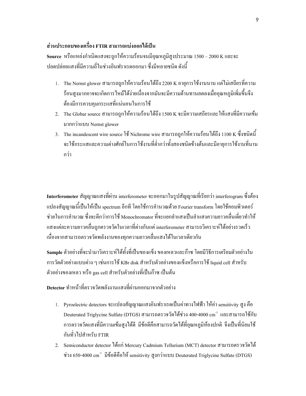### ส่วนประกอบของเครื่อง FTIR สามารถแบ่งออกได้เป็น

 ${\bf Source}$  หรือแหล่งกำเนิดแสงจะถูกให้ความร้อนจนมีอุณหภูมิสูงประมาณ 1500 – 2000 K และจะ ปลดปล่อยแสงที่มีความถี่ในช่วงอินฟราเรคออกมา ซึ่งมีหลายชนิด ดังนี้

- 1. The Nernst glower สามารถถูกให้ความร้อนใด้ถึง 2200 K อายุการใช้งานนาน แต่ไม่เสถียรที่ความ ร้อนสูงมากอาจจะเกิดการไหม้ได้ง่ายเนื่องจากมันจะมีความต้านทานลดลงเมื่ออุณหภูมิเพิ่มขึ้นจึง ต้องมีการควบคุมกระแสที่แน่นอนในการใช้ /
- 2. The Globar source สามารถถูกให้ความร้อนได้ถึง 1500 K จะมีความเสถียรและให้แสงที่มีความเข้ม มากกว่าแบบ Nernst glower
- 3. The incandescent wire source ใช้ Nichrome wire สามารถถูกให้ความร้อนใด้ถึง 1100 K ซึ่งชนิดนี้  $\,$ จะใช้กระแสและความต่างศักย์ในการใช้งานที่ต่ำกว่าทั้งสองชนิดข้างต้นและมีอายุการใช้งานที่นาน กว่า

Interferometer สัญญาณแสงที่ผ่าน interferometer จะออกมาในรูปสัญญาณที่เรียกว่า interferogram ซึ่งต้อง แปลงสัญญาณนี้เป็นให้เป็น spectrum อีกที โดยใช้การคำนวณด้วย Fourier transform โดยใช้คอมพิวเตอร์ ช่วยในการคำนวณ ซึ่งจะดีกว่าการใช้ Monochromator ที่จะแยกลำแสงเป็นลำแสงความยาวคลื่นเดี่ยวทำให้ แสงแต่ละความยาวคลื่นถูกตรวจวัดในเวลาที่ต่างกันแต่ interferometer สามารถวิเคราะห์ได้อย่างรวดเร็ว เนื่องจากสามารถตรวจวัดพลังงานของทุกความยาวคลื่นแสงใด้ในเวลาเดียวกัน

Sample ตัวอย่างที่จะนำมาวิเคราะห์ได้ทั้งที่เป็นของแข็ง ของเหลวและก๊าซ โดยมีวิธีการเตรียมตัวอย่างใน การวัดตัวอย่างแบบต่าง ๆ เช่นการใช้ KBr disk สำหรับตัวอย่างของแข็งหรือการใช้ liquid cell สำหรับ ตัวอย่างของเหลว หรือ gas cell สำหรับตัวอย่างที่เป็นก๊าซ เป็นต้น

Detector ทำหน้าที่ตรวจวัดพลังงานแสงที่ผ่านออกมาจากตัวอย่าง

- 1. Pyroelectric detectors จะแปลงสัญญาณแสงอินฟราเรคเป็นค่าทางไฟฟ้า ให้ค่า sensitivity สูง คือ  $\rm{Deuterated~Triglycine~Sulfate~(DTGS)}$  สามารถตรวจวัดได้ช่วง 400-4000  $\rm{cm}^{\text{-1}}$  และสามารถใช้กับ การตรวจวัดแสงที่มีความเข้มสูงได้ดี มีข้อดีกือสามารถวัดได้ที่อุณหภูมิห้องปกติ จึงเป็นที่นิยมใช้ กันทั่วไปสำหรับ FTIR
- 2. Semiconductor detector ใด้แก่ Mercury Cadmium Tellurium (MCT) detector สามารถตรวจวัดใด้ ช่วง 650-4000  $\rm cm^{-1}$  มีข้อดีคือให้ sensitivity สูงกว่าแบบ Deuterated Triglycine Sulfate (DTGS)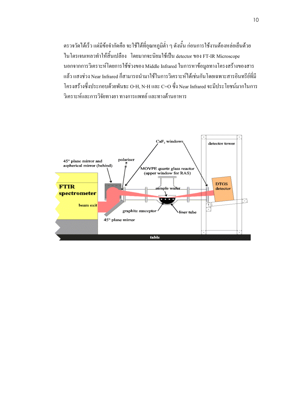ตรวจวัดได้เร็ว แต่มีข้อจำกัดกือ จะใช้ได้ที่อุณหภูมิต่ำ ๆ ดังนั้น ก่อนการใช้งานต้องหล่อเย็นด้วย ในโตรเจนเหลวทำให้สิ้นเปลือง โดยมากจะนิยมใช้เป็น detector ของ FT-IR Microscope นอกจากการวิเคราะห์โดยการใช้ช่วงของ Middle Infrared ในการหาข้อมูลทางโครงสร้างของสาร แล้ว แสงช่วง Near Infrared ก็สามารถนำมาใช้ในการวิเคราะห์ใด้เช่นกันโดยเฉพาะสารอินทรีย์ที่มี โครงสร้างซึ่งประกอบด้วยพันธะ O-H, N-H และ C=O ซึ่ง Near Infrared จะมีประโยชน์มากในการ วิเคราะห์และการวิจัยทางยา ทางการแพทย์ และทางด้านอาหาร

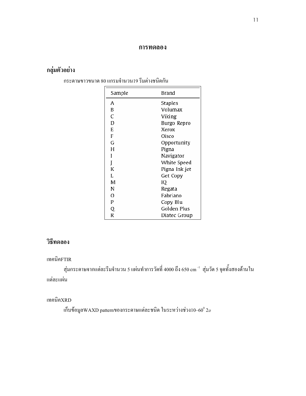#### การทดลอง

# กลุ่มตัวอย่าง

กระดาษขาวขนาด 80 แกรมจำนวน19 รีมต่างชนิดกัน

| Sample      | Brand         |
|-------------|---------------|
| А           | Staples       |
| B           | Volumax       |
| C           | Viking        |
| D           | Burgo Repro   |
| E           | Xerox         |
| F           | Oisco         |
| G           | Opportunity   |
| Н           | Pigna         |
| Ī           | Navigator     |
| Ĭ           | White Speed   |
| K           | Pigna Ink jet |
| Ľ           | Get Copy      |
| M           | IQ.           |
| N           | Regata        |
| 0           | Fabriano      |
| $\mathbf P$ | Copy Blu      |
| Q           | Golden Plus   |
| R           | Diatec Group  |

# วิธีทดลอง

#### เทคนิคFTIR

สุ่มกระดาษจากแต่ละรีมจำนวน 5 แผ่นทำการวัดที่ 4000 ถึง 650 cm  $^{\textrm{\text{--}}\textrm{\text{}}\,$ สุ่มวัด 5 จุดทั้งสองด้านใน แต่ละแผ่น

### เทคนิคXRD

เก็บข้อมูลWAXD patternของกระดาษแต่ละชนิด ในระหว่างช่วง10–60 $^{\rm o}$  2 $\rm _{\varnothing}$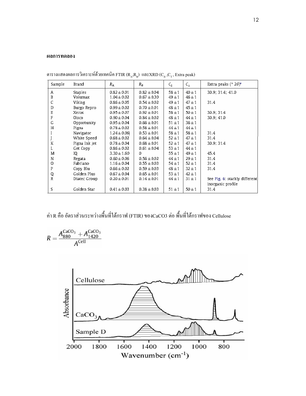#### ผลการทดลอง

| Sample | Brand         | $R_{\rm A}$     | $R_{\rm R}$     | $C_{\parallel}$ | $C_{\perp}$ | Extra peaks ( $^{\circ}$ 2 $\theta$ ) <sup>a</sup> |
|--------|---------------|-----------------|-----------------|-----------------|-------------|----------------------------------------------------|
| Α      | Staples       | $0.82 \pm 0.01$ | $0.82 \pm 0.04$ | $58 + 1$        | $40 \pm 1$  | 30.9; 31.4; 41.0                                   |
| В      | Volumax       | $1.04 \pm 0.02$ | $0.67 \pm 0.30$ | $49 + 1$        | $46 + 1$    |                                                    |
| C      | Viking        | $0.86 \pm 0.05$ | $0.54 \pm 0.02$ | $49 + 1$        | $47 + 1$    | 31.4                                               |
| D      | Burgo Repro   | $0.99 \pm 0.02$ | $0.70 \pm 0.01$ | $48 + 1$        | $45 + 1$    |                                                    |
| E      | Хегох         | $0.95 \pm 0.07$ | $0.92 \pm 0.01$ | $58 + 1$        | $50 + 1$    | 30.9; 31.4                                         |
| F      | Oisco         | $0.90 \pm 0.04$ | $0.84 \pm 0.02$ | $48 + 1$        | $44 \pm 1$  | 30.9; 41.0                                         |
| G      | Opportunity   | $0.95 \pm 0.04$ | $0.66 \pm 0.01$ | $51 + 1$        | $36 + 1$    |                                                    |
| H      | Pigna         | $0.78 \pm 0.02$ | $0.58 \pm 0.01$ | $44 + 1$        | $44 \pm 1$  |                                                    |
|        | Navigator     | $1.24 \pm 0.06$ | $0.53 \pm 0.01$ | $58 + 1$        | $58 + 1$    | 31.4                                               |
|        | White Speed   | $0.68 \pm 0.02$ | $0.64 \pm 0.04$ | $52 + 1$        | $47 + 1$    | 31.4                                               |
| K      | Pigna Ink jet | $0.78 \pm 0.04$ | $0.68 \pm 0.01$ | $52 + 1$        | $47 + 1$    | 30.9; 31.4                                         |
|        | Get Copy      | $0.86 \pm 0.02$ | $0.61 \pm 0.04$ | $53 + 1$        | $44 + 1$    |                                                    |
| M      | IQ            | $3.30 \pm 1.60$ | 0               | $55 \pm 1$      | $49 + 1$    | 45.4                                               |
| N      | Regata        | $0.60 \pm 0.06$ | $0.56 \pm 0.02$ | $44 + 1$        | $29 + 1$    | 31.4                                               |
| O      | Fabriano      | $1.16 \pm 0.04$ | $0.55 \pm 0.03$ | $54 + 1$        | $52 + 1$    | 31.4                                               |
| P      | Copy Blu      | $0.66 \pm 0.02$ | $0.59 \pm 0.03$ | $48 + 1$        | $32 + 1$    | 31.4                                               |
| Q      | Golden Plus   | $0.67 \pm 0.04$ | $0.65 \pm 0.01$ | $53 + 1$        | $42 \pm 1$  |                                                    |
| R      | Diatec Group  | $0.20 \pm 0.01$ | $0.14 \pm 0.01$ | $44 + 1$        | $31 + 1$    | See Fig. 6: starkly different                      |
|        |               |                 |                 |                 |             | inorganic profile                                  |
| S      | Golden Star   | $0.41 \pm 0.03$ | $0.38 \pm 0.03$ | $51 + 1$        | $50 + 1$    | 31.4                                               |

ตารางแสดงผลการวิเคราะห์ด้วยเทคนิค FTIR (R<sub>A</sub>,R<sub>b</sub>) และXRD (C<sub>II</sub> ,C<sub>T</sub> , Extra peak)

#### ค่า R คือ อัตราส่วนระหว่างพื้นที่ใต้กราฟ (FTIR) ของCaCO3 ต่อ พื้นที่ใต้กราฟของ Cellulose

$$
R = \frac{A_{880}^{\text{CaCO}_3} + A_{1420}^{\text{CaCO}_3}}{A^{\text{Cell}}}
$$

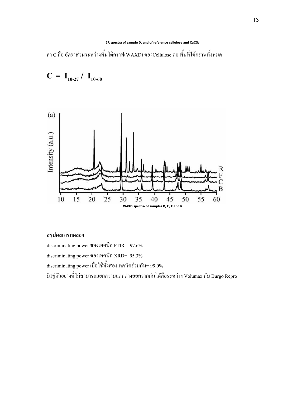#### IR spectra of sample D, and of reference cellulose and CaCO3

ค่า C คือ อัตราส่วนระหว่างพื้นใต้กราฟ(WAXD) ของCellulose ต่อ พื้นที่ใต้กราฟทั้งหมด



#### สรุปผลการทดลอง

 $C = I_{10-27} / I_{10-60}$ 

discriminating power ของเทคนิค FTIR =  $97.6\%$ discriminating power ของเทคนิค XRD= 95.3% discriminating power เมื่อใช้ทั้งสองเทคนิคร่วมกัน= 99.0% มี1คู่ตัวอย่างที่ไม่สามารถแยกความแตกต่างออกจากกันได้คือระหว่าง Volumax กับ Burgo Repro